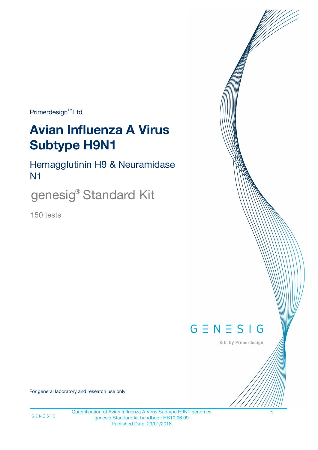Primerdesign<sup>™</sup>Ltd

# **Avian Influenza A Virus Subtype H9N1**

Hemagglutinin H9 & Neuramidase N1

genesig® Standard Kit

150 tests



Kits by Primerdesign

For general laboratory and research use only

Quantification of Avian Influenza A Virus Subtype H9N1 genomes 1 genesig Standard kit handbook HB10.06.09 Published Date: 29/01/2018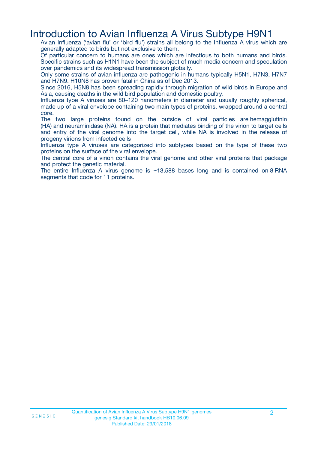### Introduction to Avian Influenza A Virus Subtype H9N1

Avian Influenza ('avian flu' or 'bird flu') strains all belong to the Influenza A virus which are generally adapted to birds but not exclusive to them.

Of particular concern to humans are ones which are infectious to both humans and birds. Specific strains such as H1N1 have been the subject of much media concern and speculation over pandemics and its widespread transmission globally.

Only some strains of avian influenza are pathogenic in humans typically H5N1, H7N3, H7N7 and H7N9. H10N8 has proven fatal in China as of Dec 2013.

Since 2016, H5N8 has been spreading rapidly through migration of wild birds in Europe and Asia, causing deaths in the wild bird population and domestic poultry.

Influenza type A viruses are 80–120 nanometers in diameter and usually roughly spherical, made up of a viral envelope containing two main types of proteins, wrapped around a central core.

The two large proteins found on the outside of viral particles are hemagglutinin (HA) and neuraminidase (NA). HA is a protein that mediates binding of the virion to target cells and entry of the viral genome into the target cell, while NA is involved in the release of progeny virions from infected cells

Influenza type A viruses are categorized into subtypes based on the type of these two proteins on the surface of the viral envelope.

The central core of a virion contains the viral genome and other viral proteins that package and protect the genetic material.

The entire Influenza A virus genome is  $\sim$ 13,588 bases long and is contained on 8 RNA segments that code for 11 proteins.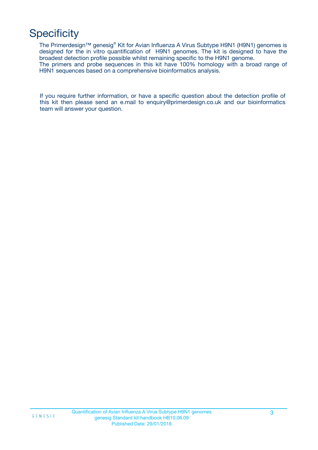# **Specificity**

The Primerdesign™ genesig® Kit for Avian Influenza A Virus Subtype H9N1 (H9N1) genomes is designed for the in vitro quantification of H9N1 genomes. The kit is designed to have the broadest detection profile possible whilst remaining specific to the H9N1 genome. The primers and probe sequences in this kit have 100% homology with a broad range of H9N1 sequences based on a comprehensive bioinformatics analysis.

If you require further information, or have a specific question about the detection profile of this kit then please send an e.mail to enquiry@primerdesign.co.uk and our bioinformatics team will answer your question.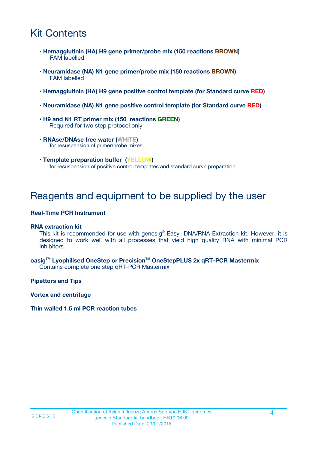# Kit Contents

- **Hemagglutinin (HA) H9 gene primer/probe mix (150 reactions BROWN)** FAM labelled
- **Neuramidase (NA) N1 gene primer/probe mix (150 reactions BROWN)** FAM labelled
- **Hemagglutinin (HA) H9 gene positive control template (for Standard curve RED)**
- **Neuramidase (NA) N1 gene positive control template (for Standard curve RED)**
- **H9 and N1 RT primer mix (150 reactions GREEN)** Required for two step protocol only
- **RNAse/DNAse free water (WHITE)** for resuspension of primer/probe mixes
- **Template preparation buffer (YELLOW)** for resuspension of positive control templates and standard curve preparation

### Reagents and equipment to be supplied by the user

#### **Real-Time PCR Instrument**

#### **RNA extraction kit**

This kit is recommended for use with genesig® Easy DNA/RNA Extraction kit. However, it is designed to work well with all processes that yield high quality RNA with minimal PCR inhibitors.

#### **oasigTM Lyophilised OneStep or PrecisionTM OneStepPLUS 2x qRT-PCR Mastermix** Contains complete one step qRT-PCR Mastermix

**Pipettors and Tips**

**Vortex and centrifuge**

#### **Thin walled 1.5 ml PCR reaction tubes**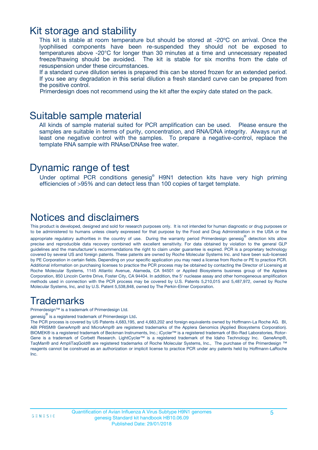### Kit storage and stability

This kit is stable at room temperature but should be stored at -20ºC on arrival. Once the lyophilised components have been re-suspended they should not be exposed to temperatures above -20°C for longer than 30 minutes at a time and unnecessary repeated freeze/thawing should be avoided. The kit is stable for six months from the date of resuspension under these circumstances.

If a standard curve dilution series is prepared this can be stored frozen for an extended period. If you see any degradation in this serial dilution a fresh standard curve can be prepared from the positive control.

Primerdesign does not recommend using the kit after the expiry date stated on the pack.

### Suitable sample material

All kinds of sample material suited for PCR amplification can be used. Please ensure the samples are suitable in terms of purity, concentration, and RNA/DNA integrity. Always run at least one negative control with the samples. To prepare a negative-control, replace the template RNA sample with RNAse/DNAse free water.

### Dynamic range of test

Under optimal PCR conditions genesig® H9N1 detection kits have very high priming efficiencies of >95% and can detect less than 100 copies of target template.

### Notices and disclaimers

This product is developed, designed and sold for research purposes only. It is not intended for human diagnostic or drug purposes or to be administered to humans unless clearly expressed for that purpose by the Food and Drug Administration in the USA or the appropriate regulatory authorities in the country of use. During the warranty period Primerdesign genesig<sup>®</sup> detection kits allow precise and reproducible data recovery combined with excellent sensitivity. For data obtained by violation to the general GLP guidelines and the manufacturer's recommendations the right to claim under guarantee is expired. PCR is a proprietary technology covered by several US and foreign patents. These patents are owned by Roche Molecular Systems Inc. and have been sub-licensed by PE Corporation in certain fields. Depending on your specific application you may need a license from Roche or PE to practice PCR. Additional information on purchasing licenses to practice the PCR process may be obtained by contacting the Director of Licensing at Roche Molecular Systems, 1145 Atlantic Avenue, Alameda, CA 94501 or Applied Biosystems business group of the Applera Corporation, 850 Lincoln Centre Drive, Foster City, CA 94404. In addition, the 5' nuclease assay and other homogeneous amplification methods used in connection with the PCR process may be covered by U.S. Patents 5,210,015 and 5,487,972, owned by Roche Molecular Systems, Inc, and by U.S. Patent 5,538,848, owned by The Perkin-Elmer Corporation.

### Trademarks

Primerdesign™ is a trademark of Primerdesign Ltd.

genesig $^\circledR$  is a registered trademark of Primerdesign Ltd.

The PCR process is covered by US Patents 4,683,195, and 4,683,202 and foreign equivalents owned by Hoffmann-La Roche AG. BI, ABI PRISM® GeneAmp® and MicroAmp® are registered trademarks of the Applera Genomics (Applied Biosystems Corporation). BIOMEK® is a registered trademark of Beckman Instruments, Inc.; iCycler™ is a registered trademark of Bio-Rad Laboratories, Rotor-Gene is a trademark of Corbett Research. LightCycler™ is a registered trademark of the Idaho Technology Inc. GeneAmp®, TaqMan® and AmpliTaqGold® are registered trademarks of Roche Molecular Systems, Inc., The purchase of the Primerdesign ™ reagents cannot be construed as an authorization or implicit license to practice PCR under any patents held by Hoffmann-LaRoche Inc.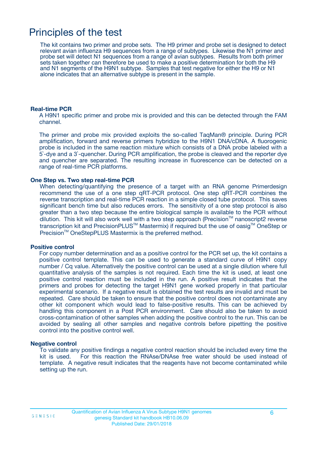### Principles of the test

The kit contains two primer and probe sets. The H9 primer and probe set is designed to detect relevant avian influenza H9 sequences from a range of subtypes. Likewise the N1 primer and probe set will detect N1 sequences from a range of avian subtypes. Results from both primer sets taken together can therefore be used to make a positive determination for both the H9 and N1 segments of the H9N1 subtype. Samples that test negative for either the H9 or N1 alone indicates that an alternative subtype is present in the sample.

#### **Real-time PCR**

A H9N1 specific primer and probe mix is provided and this can be detected through the FAM channel.

The primer and probe mix provided exploits the so-called TaqMan® principle. During PCR amplification, forward and reverse primers hybridize to the H9N1 DNA/cDNA. A fluorogenic probe is included in the same reaction mixture which consists of a DNA probe labeled with a 5`-dye and a 3`-quencher. During PCR amplification, the probe is cleaved and the reporter dye and quencher are separated. The resulting increase in fluorescence can be detected on a range of real-time PCR platforms.

#### **One Step vs. Two step real-time PCR**

When detecting/quantifying the presence of a target with an RNA genome Primerdesign recommend the use of a one step qRT-PCR protocol. One step qRT-PCR combines the reverse transcription and real-time PCR reaction in a simple closed tube protocol. This saves significant bench time but also reduces errors. The sensitivity of a one step protocol is also greater than a two step because the entire biological sample is available to the PCR without dilution. This kit will also work well with a two step approach (Precision™ nanoscript2 reverse transcription kit and PrecisionPLUS<sup>™</sup> Mastermix) if required but the use of oasig<sup>™</sup> OneStep or Precision<sup>™</sup> OneStepPLUS Mastermix is the preferred method.

#### **Positive control**

For copy number determination and as a positive control for the PCR set up, the kit contains a positive control template. This can be used to generate a standard curve of H9N1 copy number / Cq value. Alternatively the positive control can be used at a single dilution where full quantitative analysis of the samples is not required. Each time the kit is used, at least one positive control reaction must be included in the run. A positive result indicates that the primers and probes for detecting the target H9N1 gene worked properly in that particular experimental scenario. If a negative result is obtained the test results are invalid and must be repeated. Care should be taken to ensure that the positive control does not contaminate any other kit component which would lead to false-positive results. This can be achieved by handling this component in a Post PCR environment. Care should also be taken to avoid cross-contamination of other samples when adding the positive control to the run. This can be avoided by sealing all other samples and negative controls before pipetting the positive control into the positive control well.

#### **Negative control**

To validate any positive findings a negative control reaction should be included every time the kit is used. For this reaction the RNAse/DNAse free water should be used instead of template. A negative result indicates that the reagents have not become contaminated while setting up the run.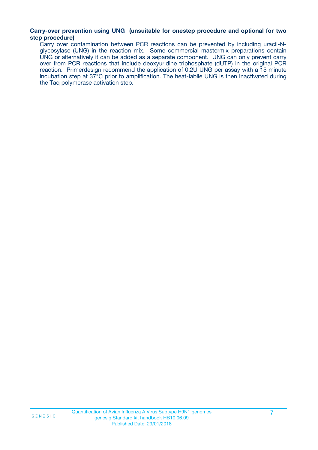#### **Carry-over prevention using UNG (unsuitable for onestep procedure and optional for two step procedure)**

Carry over contamination between PCR reactions can be prevented by including uracil-Nglycosylase (UNG) in the reaction mix. Some commercial mastermix preparations contain UNG or alternatively it can be added as a separate component. UNG can only prevent carry over from PCR reactions that include deoxyuridine triphosphate (dUTP) in the original PCR reaction. Primerdesign recommend the application of 0.2U UNG per assay with a 15 minute incubation step at 37°C prior to amplification. The heat-labile UNG is then inactivated during the Taq polymerase activation step.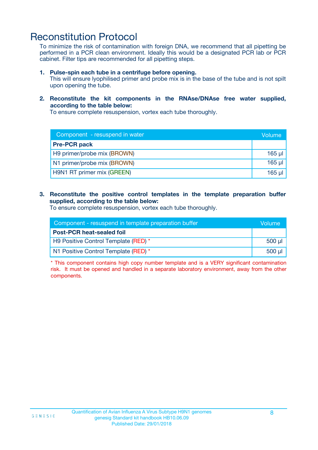### Reconstitution Protocol

To minimize the risk of contamination with foreign DNA, we recommend that all pipetting be performed in a PCR clean environment. Ideally this would be a designated PCR lab or PCR cabinet. Filter tips are recommended for all pipetting steps.

#### **1. Pulse-spin each tube in a centrifuge before opening.**

This will ensure lyophilised primer and probe mix is in the base of the tube and is not spilt upon opening the tube.

#### **2. Reconstitute the kit components in the RNAse/DNAse free water supplied, according to the table below:**

To ensure complete resuspension, vortex each tube thoroughly.

| Component - resuspend in water |             |
|--------------------------------|-------------|
| <b>Pre-PCR pack</b>            |             |
| H9 primer/probe mix (BROWN)    | $165$ $\mu$ |
| N1 primer/probe mix (BROWN)    | $165$ µ     |
| H9N1 RT primer mix (GREEN)     | 165 µl      |

#### **3. Reconstitute the positive control templates in the template preparation buffer supplied, according to the table below:**

To ensure complete resuspension, vortex each tube thoroughly.

| Component - resuspend in template preparation buffer |         |  |
|------------------------------------------------------|---------|--|
| <b>Post-PCR heat-sealed foil</b>                     |         |  |
| H9 Positive Control Template (RED) *                 | $500$ µ |  |
| N1 Positive Control Template (RED) *                 | 500 ul  |  |

\* This component contains high copy number template and is a VERY significant contamination risk. It must be opened and handled in a separate laboratory environment, away from the other components.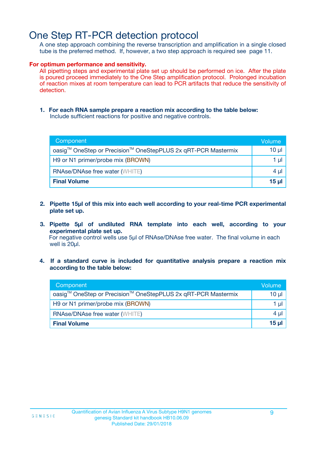# One Step RT-PCR detection protocol

A one step approach combining the reverse transcription and amplification in a single closed tube is the preferred method. If, however, a two step approach is required see page 11.

#### **For optimum performance and sensitivity.**

All pipetting steps and experimental plate set up should be performed on ice. After the plate is poured proceed immediately to the One Step amplification protocol. Prolonged incubation of reaction mixes at room temperature can lead to PCR artifacts that reduce the sensitivity of detection.

**1. For each RNA sample prepare a reaction mix according to the table below:** Include sufficient reactions for positive and negative controls.

| Component                                                     | Volume   |  |
|---------------------------------------------------------------|----------|--|
| oasig™ OneStep or Precision™ OneStepPLUS 2x qRT-PCR Mastermix | $10 \mu$ |  |
| H9 or N1 primer/probe mix (BROWN)                             |          |  |
| <b>RNAse/DNAse free water (WHITE)</b>                         | $4 \mu$  |  |
| <b>Final Volume</b>                                           | 15 µl    |  |

- **2. Pipette 15µl of this mix into each well according to your real-time PCR experimental plate set up.**
- **3. Pipette 5µl of undiluted RNA template into each well, according to your experimental plate set up.** For negative control wells use 5µl of RNAse/DNAse free water. The final volume in each well is 20ul.
- **4. If a standard curve is included for quantitative analysis prepare a reaction mix according to the table below:**

| Component                                                     | Volume  |
|---------------------------------------------------------------|---------|
| oasig™ OneStep or Precision™ OneStepPLUS 2x qRT-PCR Mastermix | 10 µl   |
| H9 or N1 primer/probe mix (BROWN)                             | 1 µl    |
| <b>RNAse/DNAse free water (WHITE)</b>                         | $4 \mu$ |
| <b>Final Volume</b>                                           | $15$ µ  |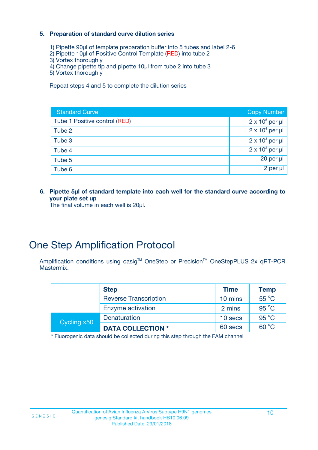#### **5. Preparation of standard curve dilution series**

- 1) Pipette 90µl of template preparation buffer into 5 tubes and label 2-6
- 2) Pipette 10µl of Positive Control Template (RED) into tube 2
- 3) Vortex thoroughly
- 4) Change pipette tip and pipette 10µl from tube 2 into tube 3
- 5) Vortex thoroughly

Repeat steps 4 and 5 to complete the dilution series

| <b>Standard Curve</b>         | <b>Copy Number</b>     |
|-------------------------------|------------------------|
| Tube 1 Positive control (RED) | $2 \times 10^5$ per µl |
| Tube 2                        | $2 \times 10^4$ per µl |
| Tube 3                        | $2 \times 10^3$ per µl |
| Tube 4                        | $2 \times 10^2$ per µl |
| Tube 5                        | $20$ per $\mu$         |
| Tube 6                        | 2 per µl               |

**6. Pipette 5µl of standard template into each well for the standard curve according to your plate set up**

The final volume in each well is 20µl.

## One Step Amplification Protocol

Amplification conditions using oasig™ OneStep or Precision™ OneStepPLUS 2x qRT-PCR Mastermix.

|             | <b>Step</b>                  | <b>Time</b> | <b>Temp</b>    |
|-------------|------------------------------|-------------|----------------|
|             | <b>Reverse Transcription</b> | 10 mins     | 55 °C          |
|             | Enzyme activation            | 2 mins      | 95 °C          |
| Cycling x50 | Denaturation                 | 10 secs     | $95^{\circ}$ C |
|             | <b>DATA COLLECTION *</b>     | 60 secs     | $60^{\circ}$ C |

\* Fluorogenic data should be collected during this step through the FAM channel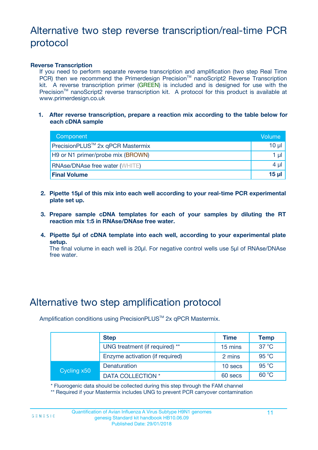# Alternative two step reverse transcription/real-time PCR protocol

#### **Reverse Transcription**

If you need to perform separate reverse transcription and amplification (two step Real Time PCR) then we recommend the Primerdesign Precision™ nanoScript2 Reverse Transcription kit. A reverse transcription primer (GREEN) is included and is designed for use with the Precision<sup>™</sup> nanoScript2 reverse transcription kit. A protocol for this product is available at www.primerdesign.co.uk

**1. After reverse transcription, prepare a reaction mix according to the table below for each cDNA sample**

| Component                                    | Volume  |
|----------------------------------------------|---------|
| PrecisionPLUS <sup>™</sup> 2x qPCR Mastermix | 10 µl   |
| H9 or N1 primer/probe mix (BROWN)            | 1 µl    |
| <b>RNAse/DNAse free water (WHITE)</b>        | $4 \mu$ |
| <b>Final Volume</b>                          | 15 ul   |

- **2. Pipette 15µl of this mix into each well according to your real-time PCR experimental plate set up.**
- **3. Prepare sample cDNA templates for each of your samples by diluting the RT reaction mix 1:5 in RNAse/DNAse free water.**
- **4. Pipette 5µl of cDNA template into each well, according to your experimental plate setup.**

The final volume in each well is 20µl. For negative control wells use 5µl of RNAse/DNAse free water.

### Alternative two step amplification protocol

Amplification conditions using PrecisionPLUS<sup>™</sup> 2x qPCR Mastermix.

|             | <b>Step</b>                     | <b>Time</b> | <b>Temp</b>    |
|-------------|---------------------------------|-------------|----------------|
|             | UNG treatment (if required) **  | 15 mins     | $37^{\circ}$ C |
|             | Enzyme activation (if required) | 2 mins      | 95 °C          |
| Cycling x50 | Denaturation                    | 10 secs     | 95 °C          |
|             | <b>DATA COLLECTION *</b>        | 60 secs     | $60^{\circ}$ C |

\* Fluorogenic data should be collected during this step through the FAM channel

\*\* Required if your Mastermix includes UNG to prevent PCR carryover contamination